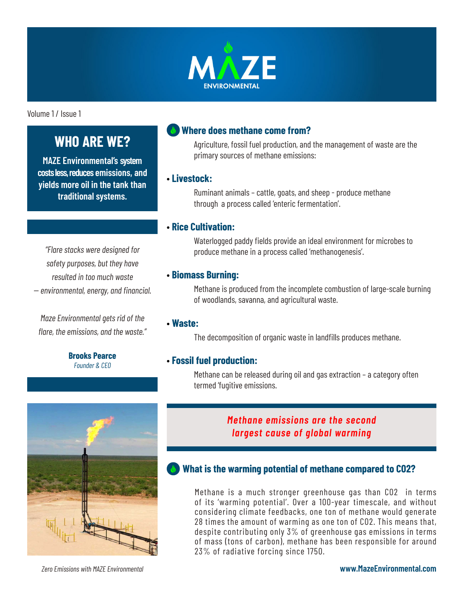

Volume 1 / Issue 1

# **WHO ARE WE?**

**MAZE Environmental's system costs less, reduces emissions, and yields more oil in the tank than traditional systems.**

*"Flare stacks were designed for safety purposes, but they have resulted in too much waste -- environmental, energy, and financial.*

*Maze Environmental gets rid of the flare, the emissions, and the waste."*

> **Brooks Pearce** *Founder & CEO*

## **Where does methane come from?**

Agriculture, fossil fuel production, and the management of waste are the primary sources of methane emissions:

#### • **Livestock:**

Ruminant animals – cattle, goats, and sheep - produce methane through a process called 'enteric fermentation'.

#### • **Rice Cultivation:**

Waterlogged paddy fields provide an ideal environment for microbes to produce methane in a process called 'methanogenesis'.

#### • **Biomass Burning:**

Methane is produced from the incomplete combustion of large-scale burning of woodlands, savanna, and agricultural waste.

#### • **Waste:**

The decomposition of organic waste in landfills produces methane.

#### • **Fossil fuel production:**

Methane can be released during oil and gas extraction – a category often termed 'fugitive emissions.



*Zero Emissions with MAZE Environmental*

## *Methane emissions are the second largest cause of global warming*

## **What is the warming potential of methane compared to CO2?**

Methane is a much stronger greenhouse gas than CO2 in terms of its 'warming potential'. Over a 100-year timescale, and without considering climate feedbacks, one ton of methane would generate 28 times the amount of warming as one ton of CO2. This means that, despite contributing only 3% of greenhouse gas emissions in terms of mass (tons of carbon), methane has been responsible for around 23% of radiative forcing since 1750.